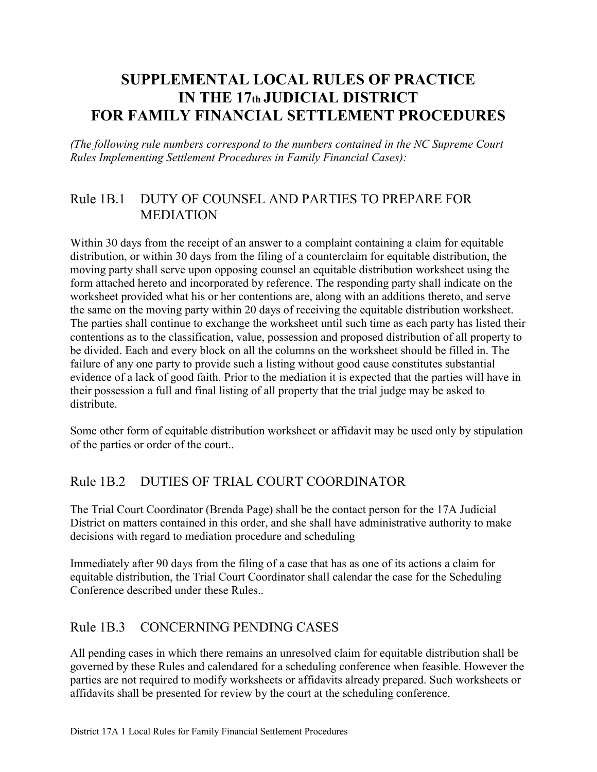# **SUPPLEMENTAL LOCAL RULES OF PRACTICE IN THE 17th JUDICIAL DISTRICT FOR FAMILY FINANCIAL SETTLEMENT PROCEDURES**

*(The following rule numbers correspond to the numbers contained in the NC Supreme Court Rules Implementing Settlement Procedures in Family Financial Cases):* 

### Rule 1B.1 DUTY OF COUNSEL AND PARTIES TO PREPARE FOR MEDIATION

Within 30 days from the receipt of an answer to a complaint containing a claim for equitable distribution, or within 30 days from the filing of a counterclaim for equitable distribution, the moving party shall serve upon opposing counsel an equitable distribution worksheet using the form attached hereto and incorporated by reference. The responding party shall indicate on the worksheet provided what his or her contentions are, along with an additions thereto, and serve the same on the moving party within 20 days of receiving the equitable distribution worksheet. The parties shall continue to exchange the worksheet until such time as each party has listed their contentions as to the classification, value, possession and proposed distribution of all property to be divided. Each and every block on all the columns on the worksheet should be filled in. The failure of any one party to provide such a listing without good cause constitutes substantial evidence of a lack of good faith. Prior to the mediation it is expected that the parties will have in their possession a full and final listing of all property that the trial judge may be asked to distribute.

Some other form of equitable distribution worksheet or affidavit may be used only by stipulation of the parties or order of the court..

# Rule 1B.2 DUTIES OF TRIAL COURT COORDINATOR

The Trial Court Coordinator (Brenda Page) shall be the contact person for the 17A Judicial District on matters contained in this order, and she shall have administrative authority to make decisions with regard to mediation procedure and scheduling

Immediately after 90 days from the filing of a case that has as one of its actions a claim for equitable distribution, the Trial Court Coordinator shall calendar the case for the Scheduling Conference described under these Rules..

### Rule 1B.3 CONCERNING PENDING CASES

All pending cases in which there remains an unresolved claim for equitable distribution shall be governed by these Rules and calendared for a scheduling conference when feasible. However the parties are not required to modify worksheets or affidavits already prepared. Such worksheets or affidavits shall be presented for review by the court at the scheduling conference.